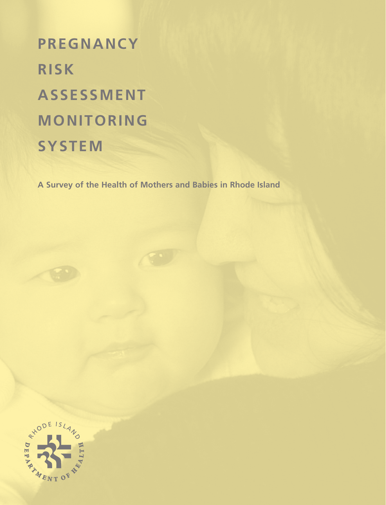# **PREGNANCY RISK ASSESSMENT MONITORING SYSTEM**

**A Survey of the Health of Mothers and Babies in Rhode Island**

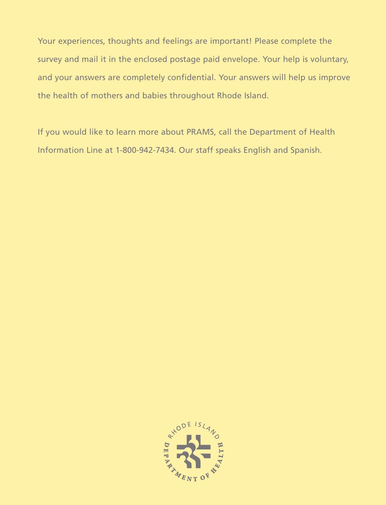Your experiences, thoughts and feelings are important! Please complete the survey and mail it in the enclosed postage paid envelope. Your help is voluntary, and your answers are completely confidential. Your answers will help us improve the health of mothers and babies throughout Rhode Island.

If you would like to learn more about PRAMS, call the Department of Health Information Line at 1-800-942-7434. Our staff speaks English and Spanish.

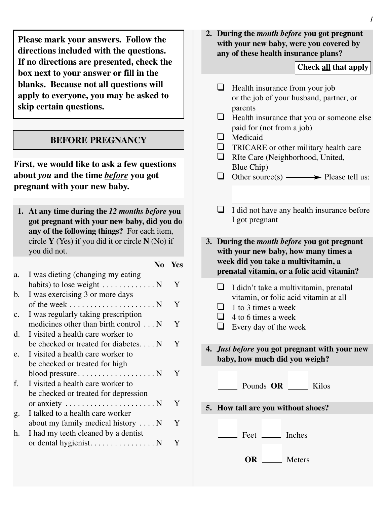**Please mark your answers. Follow the directions included with the questions. If no directions are presented, check the box next to your answer or fill in the blanks. Because not all questions will apply to everyone, you may be asked to skip certain questions.**

#### **BEFORE PREGNANCY**

**First, we would like to ask a few questions about** *you* **and the time** *before* **you got pregnant with your new baby.**

**1. At any time during the** *12 months before* **you got pregnant with your new baby, did you do any of the following things?** For each item,

|                | circle $\bf{Y}$ (Yes) if you did it or circle $\bf{N}$ (No) if |     |
|----------------|----------------------------------------------------------------|-----|
|                | you did not.                                                   |     |
|                | No                                                             | Yes |
| a.             | I was dieting (changing my eating                              |     |
|                | habits) to lose weight $\dots \dots \dots \dots$               | Y   |
| b.             | I was exercising 3 or more days                                |     |
|                | of the week $\dots \dots \dots \dots \dots \dots \dots$        | Y   |
| C <sub>1</sub> | I was regularly taking prescription                            |     |
|                | medicines other than birth control N                           | Y   |
| d.             | I visited a health care worker to                              |     |
|                | be checked or treated for diabetes $N$                         | Y   |
| e.             | I visited a health care worker to                              |     |
|                | be checked or treated for high                                 |     |
|                | $blood pressure \dots \dots \dots \dots \dots \dots N$         | Y   |
| f.             | I visited a health care worker to                              |     |
|                | be checked or treated for depression                           |     |
|                | or anxiety $\dots \dots \dots \dots \dots \dots \dots$         | Y   |
| g.             | I talked to a health care worker                               |     |
|                | about my family medical history $\dots$ N                      | Y   |
| h.             | I had my teeth cleaned by a dentist                            |     |
|                |                                                                | Y   |
|                |                                                                |     |

**2. During the** *month before* **you got pregnant with your new baby, were you covered by any of these health insurance plans?**

#### **Check all that apply**

- $\Box$  Health insurance from your job or the job of your husband, partner, or parents  $\Box$  Health insurance that you or someone else
- paid for (not from a job)
- **Q** Medicaid
- $\Box$  TRICARE or other military health care
- RIte Care (Neighborhood, United, Blue Chip)
- $\Box$  Other source(s)  $\longrightarrow$  Please tell us:
- $\Box$  I did not have any health insurance before I got pregnant

**3. During the** *month before* **you got pregnant with your new baby, how many times a week did you take a multivitamin, a prenatal vitamin, or a folic acid vitamin?**

- $\Box$  I didn't take a multivitamin, prenatal vitamin, or folic acid vitamin at all
- $\Box$  1 to 3 times a week
- $\Box$  4 to 6 times a week
- $\Box$  Every day of the week

**4.** *Just before* **you got pregnant with your new baby, how much did you weigh?**

Pounds **OR** Kilos

**5. How tall are you without shoes?**

Feet Inches

**OR** Meters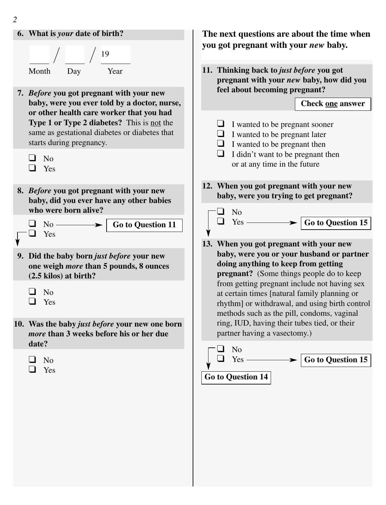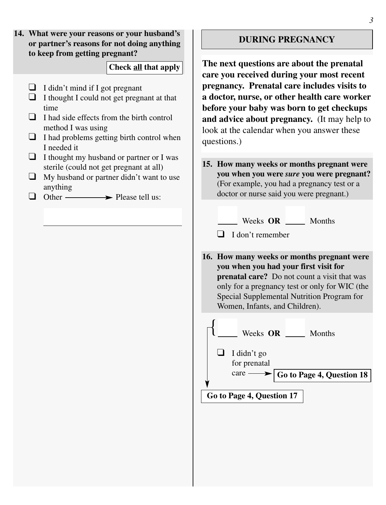**14. What were your reasons or your husband's or partner's reasons for not doing anything to keep from getting pregnant?**

## **Check all that apply**

- $\Box$  I didn't mind if I got pregnant
- $\Box$  I thought I could not get pregnant at that time
- $\Box$  I had side effects from the birth control method I was using
- $\Box$  I had problems getting birth control when I needed it
- $\Box$  I thought my husband or partner or I was sterile (could not get pregnant at all)
- $\Box$  My husband or partner didn't want to use anything
- $\Box$  Other  $\longrightarrow$  Please tell us:

## **DURING PREGNANCY**

**The next questions are about the prenatal care you received during your most recent pregnancy. Prenatal care includes visits to a doctor, nurse, or other health care worker before your baby was born to get checkups and advice about pregnancy.** (It may help to look at the calendar when you answer these questions.)

- **15. How many weeks or months pregnant were you when you were** *sure* **you were pregnant?** (For example, you had a pregnancy test or a doctor or nurse said you were pregnant.)
	- Weeks **OR** Months

 $\Box$  I don't remember

**16. How many weeks or months pregnant were you when you had your first visit for prenatal care?** Do not count a visit that was only for a pregnancy test or only for WIC (the Special Supplemental Nutrition Program for Women, Infants, and Children).

Weeks **OR** Months  $\Box$  I didn't go for prenatal  $\c{c}$   $\rightarrow$   $\f{G}$  **G**<sub> $\alpha$ </sub> **to Page 4**, **Question 18** { **Go to Page 4, Question 17**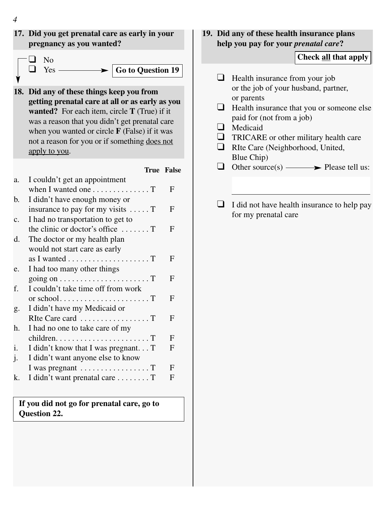



|    |                                                                     | <b>True False</b> |
|----|---------------------------------------------------------------------|-------------------|
| a. | I couldn't get an appointment                                       |                   |
|    | when I wanted one T                                                 | F                 |
| b. | I didn't have enough money or                                       |                   |
|    | insurance to pay for my visits $\dots$ . T                          | F                 |
| c. | I had no transportation to get to                                   |                   |
|    | the clinic or doctor's office $\dots$                               | F                 |
| d. | The doctor or my health plan                                        |                   |
|    | would not start care as early                                       |                   |
|    | as I wanted $\dots\dots\dots\dots\dots\dots\dots$                   | F                 |
| e. | I had too many other things                                         |                   |
|    | going on $\dots \dots \dots \dots \dots \dots \dots$                | F                 |
| f. | I couldn't take time off from work                                  |                   |
|    |                                                                     | F                 |
| g. | I didn't have my Medicaid or                                        |                   |
|    |                                                                     | F                 |
| h. | I had no one to take care of my                                     |                   |
|    | $children. \ldots \ldots \ldots \ldots \ldots \ldots \ldots \ldots$ | F                 |
| i. | I didn't know that I was pregnant T                                 | F                 |
| j. | I didn't want anyone else to know                                   |                   |
|    |                                                                     | F                 |
| k. | I didn't want prenatal care T                                       | F                 |
|    |                                                                     |                   |

**If you did not go for prenatal care, go to Question 22.**

## **19. Did any of these health insurance plans help you pay for your** *prenatal care***?**

## **Check all that apply**

- $\Box$  Health insurance from your job or the job of your husband, partner, or parents
- $\Box$  Health insurance that you or someone else paid for (not from a job)
- **Q** Medicaid
- $\Box$  TRICARE or other military health care
- RIte Care (Neighborhood, United, Blue Chip)
- $\Box$  Other source(s)  $\longrightarrow$  Please tell us:
- $\Box$  I did not have health insurance to help pay for my prenatal care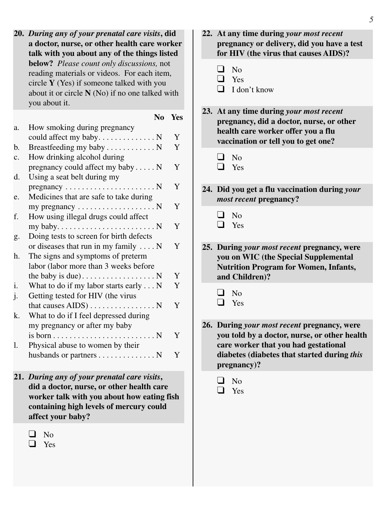**20.** *During any of your prenatal care visits***, did a doctor, nurse, or other health care worker talk with you about any of the things listed below?** *Please count only discussions,* not reading materials or videos. For each item, circle **Y** (Yes) if someone talked with you about it or circle **N** (No) if no one talked with you about it.

|    | N <sub>0</sub>                                               | Yes |
|----|--------------------------------------------------------------|-----|
| a. | How smoking during pregnancy                                 |     |
|    |                                                              | Y   |
| b. | Breastfeeding my baby N                                      | Y   |
| c. | How drinking alcohol during                                  |     |
|    | pregnancy could affect my baby N                             | Y   |
| d. | Using a seat belt during my                                  |     |
|    | $pregnancy \ldots \ldots \ldots \ldots \ldots \ldots \ldots$ | Y   |
| e. | Medicines that are safe to take during                       |     |
|    | my pregnancy $\dots \dots \dots \dots \dots \dots$           | Y   |
| f. | How using illegal drugs could affect                         |     |
|    |                                                              | Y   |
| g. | Doing tests to screen for birth defects                      |     |
|    | or diseases that run in my family $\dots$ N                  | Y   |
| h. | The signs and symptoms of preterm                            |     |
|    | labor (labor more than 3 weeks before                        |     |
|    |                                                              | Y   |
| i. | What to do if my labor starts early $\dots N$                | Y   |
| j. | Getting tested for HIV (the virus                            |     |
|    | that causes $AIDS$ ) N                                       | Y   |
| k. | What to do if I feel depressed during                        |     |
|    | my pregnancy or after my baby                                |     |
|    |                                                              | Y   |
| 1. | Physical abuse to women by their                             |     |
|    | husbands or partners N                                       | Y   |

- **21.** *During any of your prenatal care visits***, did a doctor, nurse, or other health care worker talk with you about how eating fish containing high levels of mercury could affect your baby?**
	- $\Box$  No

**D** Yes

- **22. At any time during** *your most recent* **pregnancy or delivery, did you have a test for HIV (the virus that causes AIDS)?**
	- $\Box$  No
	- $\Box$  Yes
	- $\Box$  I don't know
- **23. At any time during** *your most recent* **pregnancy, did a doctor, nurse, or other health care worker offer you a flu vaccination or tell you to get one?**
	- $\Box$  No
	- � Yes
- **24. Did you get a flu vaccination during** *your most recent* **pregnancy?**
	- $\Box$  No

 $\Box$  Yes

- **25. During** *your most recent* **pregnancy, were you on WIC (the Special Supplemental Nutrition Program for Women, Infants, and Children)?**
	- $\Box$  No
	- $\Box$  Yes
- **26. During** *your most recent* **pregnancy, were you told by a doctor, nurse, or other health care worker that you had gestational diabetes (diabetes that started during** *this* **pregnancy)?**
	- $\Box$  No
	- $\Box$  Yes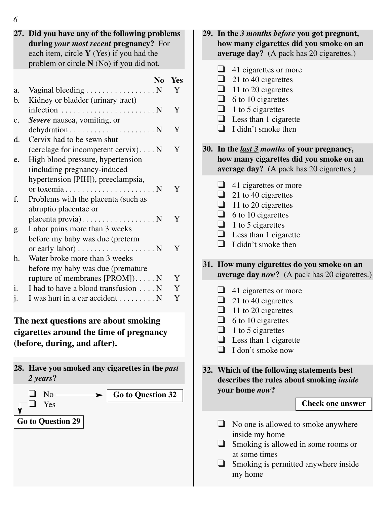**27. Did you have any of the following problems during** *your most recent* **pregnancy?** For each item, circle **Y** (Yes) if you had the problem or circle **N** (No) if you did not. **No Yes** a. Vaginal bleeding  $\dots \dots \dots \dots \dots \dots N$  Y b. Kidney or bladder (urinary tract) infection . . . . . . . . . . . . . . . . . . . . . . . N Y c. *Severe* nausea, vomiting, or  $dehydration \dots \dots \dots \dots \dots \dots \dots \dots \dots \quad Y$ d. Cervix had to be sewn shut (cerclage for incompetent cervix)....  $N$  Y e. High blood pressure, hypertension (including pregnancy-induced hypertension [PIH]), preeclampsia, or toxemia  $\dots \dots \dots \dots \dots \dots \dots N$  Y f. Problems with the placenta (such as abruptio placentae or placenta previa).  $\dots$  . . . . . . . . . . . . . . N Y g. Labor pains more than 3 weeks before my baby was due (preterm or early labor)  $\dots$  . . . . . . . . . . . . . . . .  $N$   $Y$ h. Water broke more than 3 weeks before my baby was due (premature rupture of membranes  $[PROM]$ )..... N Y i. I had to have a blood transfusion  $\dots N$  Y j. I was hurt in a car accident  $\dots \dots \dots N$  Y

**The next questions are about smoking cigarettes around the time of pregnancy (before, during, and after).**



**29. In the** *3 months before* **you got pregnant, how many cigarettes did you smoke on an average day?** (A pack has 20 cigarettes.)  $\Box$  41 cigarettes or more  $\Box$  21 to 40 cigarettes  $\Box$  11 to 20 cigarettes  $\Box$  6 to 10 cigarettes  $\Box$  1 to 5 cigarettes  $\Box$  Less than 1 cigarette  $\Box$  I didn't smoke then **30. In the** *last 3 months* **of your pregnancy, how many cigarettes did you smoke on an average day?** (A pack has 20 cigarettes.)  $\Box$  41 cigarettes or more  $\Box$  21 to 40 cigarettes  $\Box$  11 to 20 cigarettes  $\Box$  6 to 10 cigarettes  $\Box$  1 to 5 cigarettes  $\Box$  Less than 1 cigarette  $\Box$  I didn't smoke then **31. How many cigarettes do you smoke on an average day** *now***?** (A pack has 20 cigarettes.)  $\Box$  41 cigarettes or more  $\Box$  21 to 40 cigarettes  $\Box$  11 to 20 cigarettes  $\Box$  6 to 10 cigarettes  $\Box$  1 to 5 cigarettes  $\Box$  Less than 1 cigarette  $\Box$  I don't smoke now **32. Which of the following statements best describes the rules about smoking** *inside* **your home** *now***?**  $\Box$  No one is allowed to smoke anywhere inside my home  $\Box$  Smoking is allowed in some rooms or at some times  $\Box$  Smoking is permitted anywhere inside my home **Check one answer**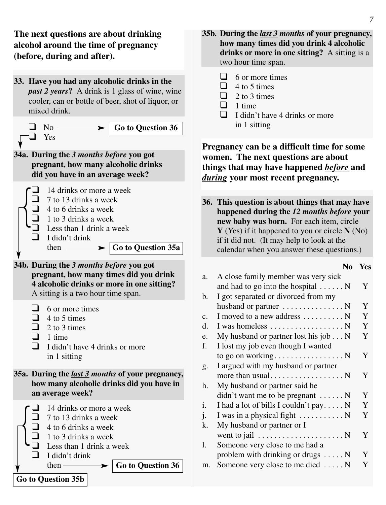**The next questions are about drinking alcohol around the time of pregnancy (before, during and after).**

**33. Have you had any alcoholic drinks in the** *past 2 years***?** A drink is 1 glass of wine, wine cooler, can or bottle of beer, shot of liquor, or mixed drink.

 $\Box$  No  $\Box$ � Yes

**Go to Question 36**

**34a. During the** *3 months before* **you got pregnant, how many alcoholic drinks did you have in an average week?**



**34b. During the** *3 months before* **you got pregnant, how many times did you drink 4 alcoholic drinks or more in one sitting?** A sitting is a two hour time span.

- $\Box$  6 or more times
- $\Box$  4 to 5 times
- $\Box$  2 to 3 times
- $\Box$  1 time
- $\Box$  I didn't have 4 drinks or more in 1 sitting

**35a. During the** *last 3 months* **of your pregnancy, how many alcoholic drinks did you have in an average week?**



- **35b. During the** *last 3 months* **of your pregnancy, how many times did you drink 4 alcoholic drinks or more in one sitting?** A sitting is a two hour time span.
	- $\Box$  6 or more times
	- $\Box$  4 to 5 times
	- $\Box$  2 to 3 times
	- $\Box$  1 time
	- $\Box$  I didn't have 4 drinks or more in 1 sitting

**Pregnancy can be a difficult time for some women. The next questions are about things that may have happened** *before* **and** *during* **your most recent pregnancy.**

**36. This question is about things that may have happened during the** *12 months before* **your new baby was born.** For each item, circle **Y** (Yes) if it happened to you or circle **N** (No) if it did not. (It may help to look at the calendar when you answer these questions.)

#### **No Yes**

| a.             | A close family member was very sick                      |   |
|----------------|----------------------------------------------------------|---|
|                | and had to go into the hospital $\dots \dots N$          | Y |
| b.             | I got separated or divorced from my                      |   |
|                | husband or partner $\dots \dots \dots \dots \dots$       | Y |
| C <sub>1</sub> | I moved to a new address $\dots \dots \dots$             | Y |
| d.             | I was homeless $\dots \dots \dots \dots \dots \dots$     | Y |
| e.             | My husband or partner lost his job $\ldots$ N            | Y |
| f.             | I lost my job even though I wanted                       |   |
|                |                                                          | Y |
| g.             | I argued with my husband or partner                      |   |
|                |                                                          | Y |
| h.             | My husband or partner said he                            |   |
|                | $\text{d}$ didn't want me to be pregnant $\dots \dots N$ | Y |
| i.             | I had a lot of bills I couldn't pay $N$                  | Y |
| j.             | I was in a physical fight $\dots \dots \dots \dots$      | Y |
| k.             | My husband or partner or I                               |   |
|                | went to jail $\dots \dots \dots \dots \dots \dots \dots$ | Y |
| 1.             | Someone very close to me had a                           |   |
|                | problem with drinking or drugs $\dots$ . N               | Y |
| m.             | Someone very close to me died  N                         | Y |
|                |                                                          |   |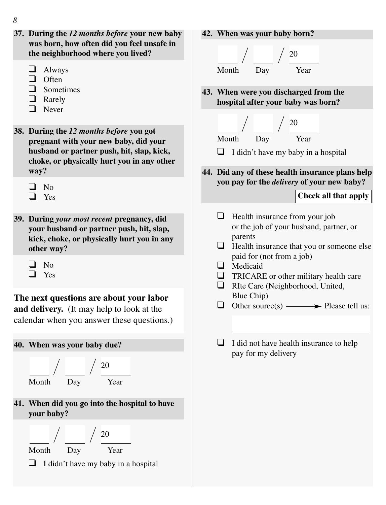- *8*
- **37. During the** *12 months before* **your new baby was born, how often did you feel unsafe in the neighborhood where you lived?**
	- $\Box$  Always
	- $\Box$  Often
	- $\Box$  Sometimes
	- $\Box$  Rarely
	- $\Box$  Never

**38. During the** *12 months before* **you got pregnant with your new baby, did your husband or partner push, hit, slap, kick, choke, or physically hurt you in any other way?**

- $\Box$  No  $\Box$  Yes
- **39. During** *your most recent* **pregnancy, did your husband or partner push, hit, slap, kick, choke, or physically hurt you in any other way?**
	- $\Box$  No
	- $\Box$  Yes

## **The next questions are about your labor and delivery.** (It may help to look at the

calendar when you answer these questions.)

## **40. When was your baby due?**





**41. When did you go into the hospital to have your baby?**





 $\Box$  I didn't have my baby in a hospital

**42. When was your baby born?**



**43. When were you discharged from the hospital after your baby was born?**



- $\Box$  I didn't have my baby in a hospital
- **44. Did any of these health insurance plans help you pay for the** *delivery* **of your new baby?**

## **Check all that apply**

- $\Box$  Health insurance from your job or the job of your husband, partner, or parents
- $\Box$  Health insurance that you or someone else paid for (not from a job)
- $\Box$  Medicaid
- $\Box$  TRICARE or other military health care
- RIte Care (Neighborhood, United, Blue Chip)

 $\Box$  Other source(s)  $\longrightarrow$  Please tell us:

 $\Box$  I did not have health insurance to help pay for my delivery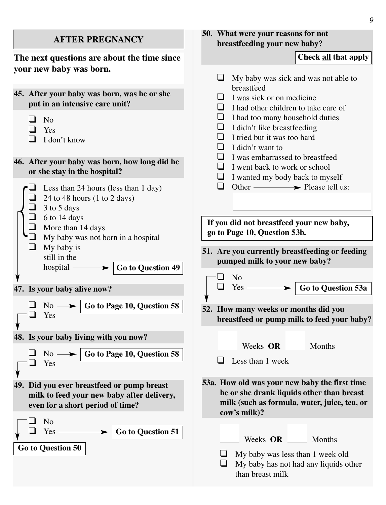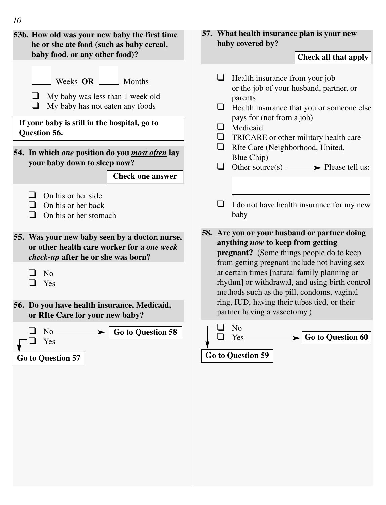

## *10*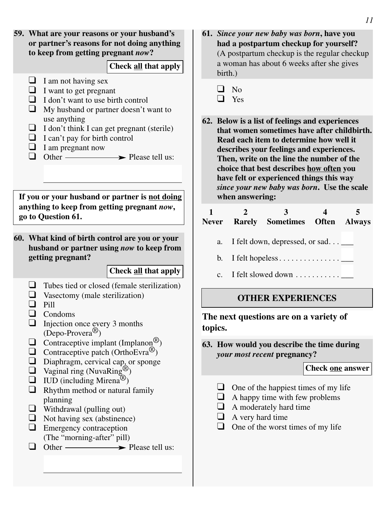

- **61.** *Since your new baby was born***, have you had a postpartum checkup for yourself?** (A postpartum checkup is the regular checkup a woman has about 6 weeks after she gives birth.)
	- $\Box$  No
	- $\Box$  Yes
- **62. Below is a list of feelings and experiences that women sometimes have after childbirth. Read each item to determine how well it describes your feelings and experiences. Then, write on the line the number of the choice that best describes how often you have felt or experienced things this way** *since your new baby was born***. Use the scale when answering:**

| <b>Never</b> | Rarely Sometimes Often Always              |  |
|--------------|--------------------------------------------|--|
|              | a. I felt down, depressed, or sad $\qquad$ |  |
|              | b. I felt hopeless $\Box$                  |  |
| $C_{\cdot}$  | I felt slowed down $\dots\dots\dots\dots$  |  |
|              |                                            |  |

## **OTHER EXPERIENCES**

**The next questions are on a variety of topics.**

**63. How would you describe the time during** *your most recent* **pregnancy?**

#### **Check one answer**

- $\Box$  One of the happiest times of my life
- $\Box$  A happy time with few problems
- $\Box$  A moderately hard time
- $\Box$  A very hard time
- $\Box$  One of the worst times of my life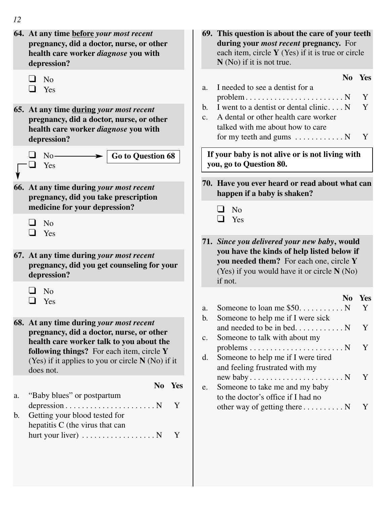| 12 |                                                                                                                                                                 |                                                          |                                                                                                                                                                                       |
|----|-----------------------------------------------------------------------------------------------------------------------------------------------------------------|----------------------------------------------------------|---------------------------------------------------------------------------------------------------------------------------------------------------------------------------------------|
|    | 64. At any time before your most recent<br>pregnancy, did a doctor, nurse, or other<br>health care worker diagnose you with<br>depression?                      |                                                          | 69. This question is about the care of your teeth<br>during your <i>most recent</i> pregnancy. For<br>each item, circle Y (Yes) if it is true or circle<br>$N(No)$ if it is not true. |
|    | ப<br>No.<br>ப<br>Yes                                                                                                                                            | a.                                                       | No<br>Yes<br>I needed to see a dentist for a<br>$problem \ldots \ldots \ldots \ldots \ldots \ldots \ldots \ldots N$<br>Y                                                              |
|    | b.<br>65. At any time during your most recent<br>$c_{\cdot}$<br>pregnancy, did a doctor, nurse, or other<br>health care worker diagnose you with<br>depression? |                                                          | I went to a dentist or dental clinic N<br>Y<br>A dental or other health care worker<br>talked with me about how to care<br>for my teeth and gums $\dots \dots \dots \dots$<br>Y       |
|    | Go to Question 68<br>No<br>Yes<br>$\overline{\phantom{a}}$                                                                                                      |                                                          | If your baby is not alive or is not living with<br>you, go to Question 80.                                                                                                            |
|    | 66. At any time during your most recent<br>pregnancy, did you take prescription<br>medicine for your depression?                                                |                                                          | 70. Have you ever heard or read about what can<br>happen if a baby is shaken?<br>ப<br>No                                                                                              |
|    | $\blacksquare$<br>N <sub>o</sub><br>∩<br>Yes                                                                                                                    | ப<br>Yes<br>71. Since you delivered your new baby, would |                                                                                                                                                                                       |
|    | 67. At any time during your most recent<br>pregnancy, did you get counseling for your<br>depression?                                                            |                                                          | you have the kinds of help listed below if<br>you needed them? For each one, circle Y<br>(Yes) if you would have it or circle N (No)<br>if not.                                       |
|    | ப<br>No.<br>$\Box$<br>Yes                                                                                                                                       | a.                                                       | N <sub>0</sub><br><b>Yes</b><br>Y                                                                                                                                                     |
|    | 68. At any time during your most recent<br>pregnancy, did a doctor, nurse, or other<br>health care worker talk to you about the                                 | b.<br>c.                                                 | Someone to help me if I were sick<br>Y<br>Someone to talk with about my                                                                                                               |
|    | following things? For each item, circle Y<br>(Yes) if it applies to you or circle N (No) if it<br>does not.                                                     | d.                                                       | $problems \ldots \ldots \ldots \ldots \ldots \ldots \ldots \ldots \ldots$<br>Y<br>Someone to help me if I were tired<br>and feeling frustrated with my                                |
| a. | No Yes<br>"Baby blues" or postpartum                                                                                                                            | e.                                                       | Y<br>Someone to take me and my baby<br>to the doctor's office if I had no                                                                                                             |
| b. | Y<br>Getting your blood tested for<br>hepatitis C (the virus that can<br>hurt your liver) $\dots \dots \dots \dots \dots \dots$<br>Y                            |                                                          | other way of getting there $\dots \dots \dots$<br>Y                                                                                                                                   |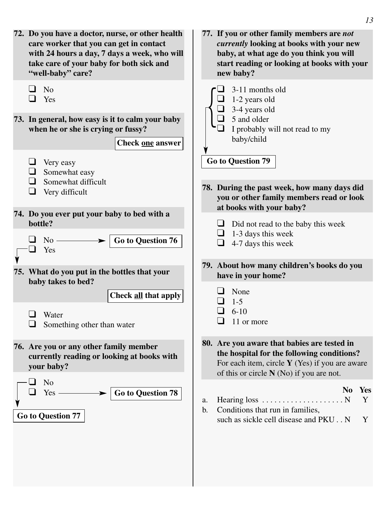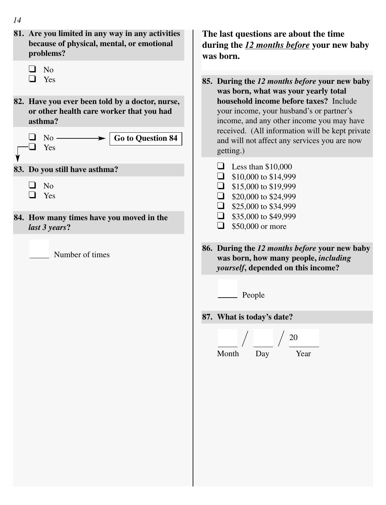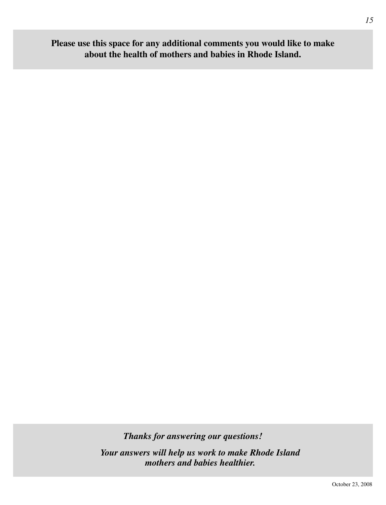# **Please use this space for any additional comments you would like to make about the health of mothers and babies in Rhode Island.**

*Thanks for answering our questions!*

*Your answers will help us work to make Rhode Island mothers and babies healthier.*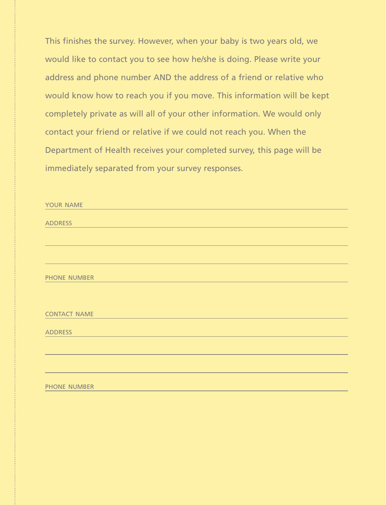This finishes the survey. However, when your baby is two years old, we would like to contact you to see how he/she is doing. Please write your address and phone number AND the address of a friend or relative who would know how to reach you if you move. This information will be kept completely private as will all of your other information. We would only contact your friend or relative if we could not reach you. When the Department of Health receives your completed survey, this page will be immediately separated from your survey responses.

| YOUR NAME           |
|---------------------|
|                     |
| <b>ADDRESS</b>      |
|                     |
|                     |
|                     |
|                     |
|                     |
| <b>PHONE NUMBER</b> |
|                     |
|                     |
|                     |
| <b>CONTACT NAME</b> |
|                     |
| <b>ADDRESS</b>      |
|                     |
|                     |
|                     |
|                     |
|                     |
| <b>PHONE NUMBER</b> |